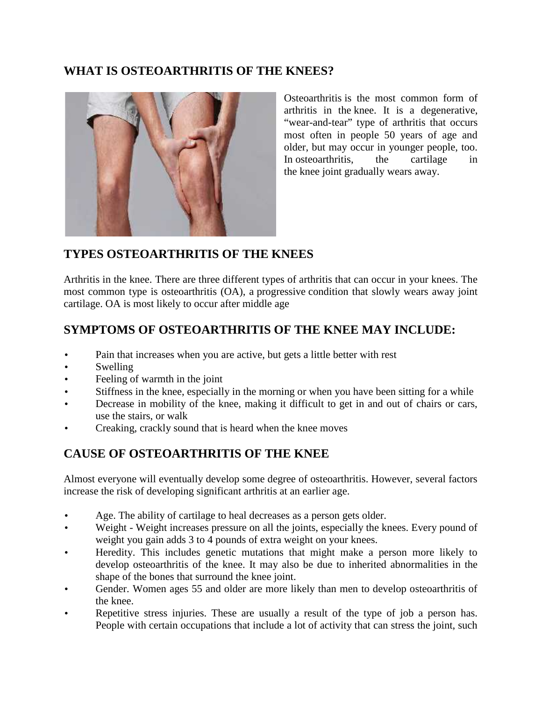## **WHAT IS OSTEOARTHRITIS OF THE KNEES?**



Osteoarthritis is the most common form of arthritis in the knee. It is a degenerative, "wear-and-tear" type of arthritis that occurs most often in people 50 years of age and older, but may occur in younger people, too. In osteoarthritis, the cartilage in the knee joint gradually wears away.

## **TYPES OSTEOARTHRITIS OF THE KNEES**

Arthritis in the knee. There are three different types of arthritis that can occur in your knees. The most common type is osteoarthritis (OA), a progressive condition that slowly wears away joint cartilage. OA is most likely to occur after middle age

## **SYMPTOMS OF OSTEOARTHRITIS OF THE KNEE MAY INCLUDE:**

- Pain that increases when you are active, but gets a little better with rest
- Swelling
- Feeling of warmth in the joint
- Stiffness in the knee, especially in the morning or when you have been sitting for a while
- Decrease in mobility of the knee, making it difficult to get in and out of chairs or cars, use the stairs, or walk
- Creaking, crackly sound that is heard when the knee moves

# **CAUSE OF OSTEOARTHRITIS OF THE KNEE**

Almost everyone will eventually develop some degree of osteoarthritis. However, several factors increase the risk of developing significant arthritis at an earlier age.

- Age. The ability of cartilage to heal decreases as a person gets older.
- Weight Weight increases pressure on all the joints, especially the knees. Every pound of weight you gain adds 3 to 4 pounds of extra weight on your knees.
- Heredity. This includes genetic mutations that might make a person more likely to develop osteoarthritis of the knee. It may also be due to inherited abnormalities in the shape of the bones that surround the knee joint.
- Gender. Women ages 55 and older are more likely than men to develop osteoarthritis of the knee.
- Repetitive stress injuries. These are usually a result of the type of job a person has. People with certain occupations that include a lot of activity that can stress the joint, such